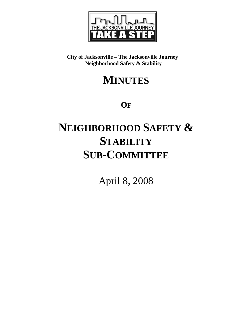

**City of Jacksonville – The Jacksonville Journey Neighborhood Safety & Stability** 

## **MINUTES**

**OF**

# **NEIGHBORHOOD SAFETY & STABILITY SUB-COMMITTEE**

April 8, 2008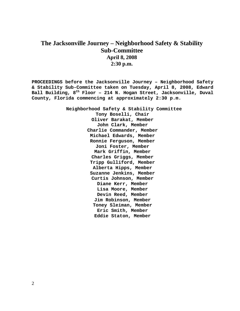### **The Jacksonville Journey – Neighborhood Safety & Stability Sub-Committee April 8, 2008 2:30 p.m.**

**PROCEEDINGS before the Jacksonville Journey – Neighborhood Safety & Stability Sub-Committee taken on Tuesday, April 8, 2008, Edward Ball Building, 8th Floor – 214 N. Hogan Street, Jacksonville, Duval County, Florida commencing at approximately 2:30 p.m.** 

> **Neighborhood Safety & Stability Committee Tony Boselli, Chair Oliver Barakat, Member John Clark, Member Charlie Commander, Member Michael Edwards, Member Ronnie Ferguson, Member Joni Foster, Member Mark Griffin, Member Charles Griggs, Member Tripp Gulliford, Member Alberta Hipps, Member Suzanne Jenkins, Member Curtis Johnson, Member Diane Kerr, Member Lisa Moore, Member Devin Reed, Member Jim Robinson, Member Toney Sleiman, Member Eric Smith, Member Eddie Staton, Member**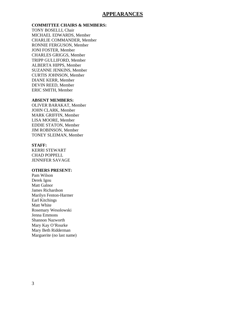#### **APPEARANCES**

#### **COMMITTEE CHAIRS & MEMBERS:**

TONY BOSELLI, Chair MICHAEL EDWARDS, Member CHARLIE COMMANDER, Member RONNIE FERGUSON, Member JONI FOSTER, Member CHARLES GRIGGS, Member TRIPP GULLIFORD, Member ALBERTA HIPPS, Member SUZANNE JENKINS, Member CURTIS JOHNSON, Member DIANE KERR, Member DEVIN REED, Member ERIC SMITH, Member

#### **ABSENT MEMBERS:**

OLIVER BARAKAT, Member JOHN CLARK, Member MARK GRIFFIN, Member LISA MOORE, Member EDDIE STATON, Member JIM ROBINSON, Member TONEY SLEIMAN, Member

#### **STAFF:**

KERRI STEWART CHAD POPPELL JENNIFER SAVAGE

#### **OTHERS PRESENT:**

Pam Wilson Derek Igou Matt Galnor James Richardson Marilyn Fenton-Harmer Earl Kitchings Matt White Rosemary Wesolowski Jenna Emmons Shannon Nazworth Mary Kay O'Rourke Mary Beth Ridderman Marguerite (no last name)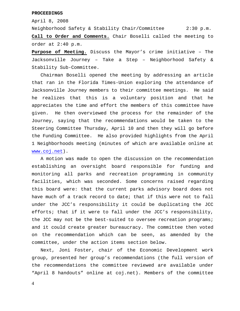#### **PROCEEDINGS**

April 8, 2008

Neighborhood Safety & Stability Chair/Committee 2:30 p.m. **Call to Order and Comments.** Chair Boselli called the meeting to order at 2:40 p.m.

**Purpose of Meeting.** Discuss the Mayor's crime initiative – The Jacksonville Journey – Take a Step – Neighborhood Safety & Stability Sub-Committee.

 Chairman Boselli opened the meeting by addressing an article that ran in the Florida Times-Union exploring the attendance of Jacksonville Journey members to their committee meetings. He said he realizes that this is a voluntary position and that he appreciates the time and effort the members of this committee have given. He then overviewed the process for the remainder of the Journey, saying that the recommendations would be taken to the Steering Committee Thursday, April 10 and then they will go before the Funding Committee. He also provided highlights from the April 1 Neighborhoods meeting (minutes of which are available online at www.coj.net).

 A motion was made to open the discussion on the recommendation establishing an oversight board responsible for funding and monitoring all parks and recreation programming in community facilities, which was seconded. Some concerns raised regarding this board were: that the current parks advisory board does not have much of a track record to date; that if this were not to fall under the JCC's responsibility it could be duplicating the JCC efforts; that if it were to fall under the JCC's responsibility, the JCC may not be the best-suited to oversee recreation programs; and it could create greater bureaucracy. The committee then voted on the recommendation which can be seen, as amended by the committee, under the action items section below.

 Next, Joni Foster, chair of the Economic Development work group, presented her group's recommendations (the full version of the recommendations the committee reviewed are available under "April 8 handouts" online at coj.net). Members of the committee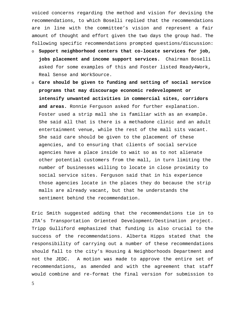voiced concerns regarding the method and vision for devising the recommendations, to which Boselli replied that the recommendations are in line with the committee's vision and represent a fair amount of thought and effort given the two days the group had. The following specific recommendations prompted questions/discussion:

- o **Support neighborhood centers that co-locate services for job, jobs placement and income support services.** Chairman Boselli asked for some examples of this and Foster listed Ready4Work, Real Sense and WorkSource.
- o **Care should be given to funding and setting of social service programs that may discourage economic redevelopment or intensify unwanted activities in commercial sites, corridors and areas.** Ronnie Ferguson asked for further explanation. Foster used a strip mall she is familiar with as an example. She said all that is there is a methadone clinic and an adult entertainment venue, while the rest of the mall sits vacant. She said care should be given to the placement of these agencies, and to ensuring that clients of social service agencies have a place inside to wait so as to not alienate other potential customers from the mall, in turn limiting the number of businesses willing to locate in close proximity to social service sites. Ferguson said that in his experience those agencies locate in the places they do because the strip malls are already vacant, but that he understands the sentiment behind the recommendation.

Eric Smith suggested adding that the recommendations tie in to JTA's Transportation Oriented Development/Destination project. Tripp Gulliford emphasized that funding is also crucial to the success of the recommendations. Alberta Hipps stated that the responsibility of carrying out a number of these recommendations should fall to the city's Housing & Neighborhoods Department and not the JEDC. A motion was made to approve the entire set of recommendations, as amended and with the agreement that staff would combine and re-format the final version for submission to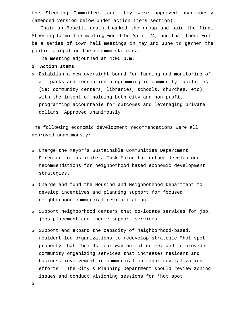the Steering Committee, and they were approved unanimously (amended version below under action items section).

 Chairman Boselli again thanked the group and said the final Steering Committee meeting would be April 24, and that there will be a series of town hall meetings in May and June to garner the public's input on the recommendations.

The meeting adjourned at 4:05 p.m.

#### **2. Action Items**

o Establish a new oversight board for funding and monitoring of all parks and recreation programming in community facilities (ie: community centers, libraries, schools, churches, etc) with the intent of holding both city and non-profit programming accountable for outcomes and leveraging private dollars. Approved unanimously.

The following economic development recommendations were all approved unanimously:

- o Charge the Mayor's Sustainable Communities Department Director to institute a Task Force to further develop our recommendations for neighborhood based economic development strategies.
- o Charge and fund the Housing and Neighborhood Department to develop incentives and planning support for focused neighborhood commercial revitalization.
- o Support neighborhood centers that co-locate services for job, jobs placement and income support services.
- o Support and expand the capacity of neighborhood-based, resident-led organizations to redevelop strategic "hot spot" property that "builds" our way out of crime; and to provide community organizing services that increases resident and business involvement in commercial corridor revitalization efforts. The City's Planning Department should review zoning issues and conduct visioning sessions for 'hot spot'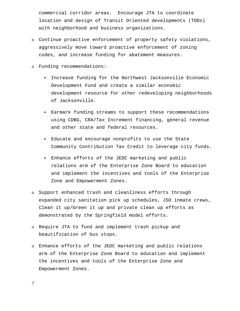commercial corridor areas. Encourage JTA to coordinate location and design of Transit Oriented developments (TODs) with neighborhood and business organizations.

- o Continue proactive enforcement of property safety violations, aggressively move toward proactive enforcement of zoning codes, and increase funding for abatement measures.
- o Funding recommendations:
	- Increase funding for the Northwest Jacksonville Economic Development Fund and create a similar economic development resource for other redeveloping neighborhoods of Jacksonville.
	- Earmark funding streams to support these recommendations using CDBG, CRA/Tax Increment financing, general revenue and other state and federal resources.
	- Educate and encourage nonprofits to use the State Community Contribution Tax Credit to leverage city funds.
	- Enhance efforts of the JEDC marketing and public relations arm of the Enterprise Zone Board to education and implement the incentives and tools of the Enterprise Zone and Empowerment Zones.
- o Support enhanced trash and cleanliness efforts through expanded city sanitation pick up schedules, JSO inmate crews, Clean it up/Green it up and private clean up efforts as demonstrated by the Springfield model efforts.
- o Require JTA to fund and implement trash pickup and beautification of bus stops.
- o Enhance efforts of the JEDC marketing and public relations arm of the Enterprise Zone Board to education and implement the incentives and tools of the Enterprise Zone and Empowerment Zones.